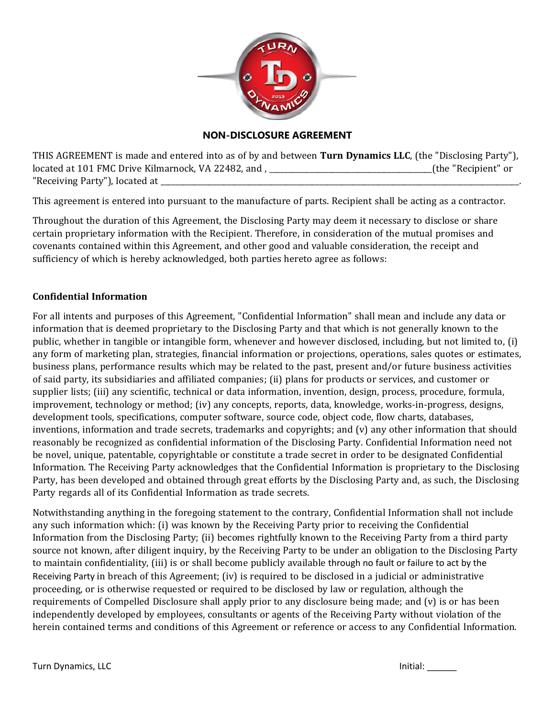

## **NON-DISCLOSURE AGREEMENT**

THIS AGREEMENT is made and entered into as of by and between **Turn Dynamics LLC**, (the "Disclosing Party"), located at 101 FMC Drive Kilmarnock, VA 22482, and , \_\_\_\_\_\_\_\_\_\_\_\_\_\_\_\_\_\_\_\_\_\_\_\_\_\_\_\_\_\_\_\_\_\_\_\_\_\_\_\_\_\_\_\_(the "Recipient" or "Receiving Party"), located at \_

This agreement is entered into pursuant to the manufacture of parts. Recipient shall be acting as a contractor.

Throughout the duration of this Agreement, the Disclosing Party may deem it necessary to disclose or share certain proprietary information with the Recipient. Therefore, in consideration of the mutual promises and covenants contained within this Agreement, and other good and valuable consideration, the receipt and sufficiency of which is hereby acknowledged, both parties hereto agree as follows:

## **Confidential Information**

For all intents and purposes of this Agreement, "Confidential Information" shall mean and include any data or information that is deemed proprietary to the Disclosing Party and that which is not generally known to the public, whether in tangible or intangible form, whenever and however disclosed, including, but not limited to, (i) any form of marketing plan, strategies, financial information or projections, operations, sales quotes or estimates, business plans, performance results which may be related to the past, present and/or future business activities of said party, its subsidiaries and affiliated companies; (ii) plans for products or services, and customer or supplier lists; (iii) any scientific, technical or data information, invention, design, process, procedure, formula, improvement, technology or method; (iv) any concepts, reports, data, knowledge, works-in-progress, designs, development tools, specifications, computer software, source code, object code, flow charts, databases, inventions, information and trade secrets, trademarks and copyrights; and (v) any other information that should reasonably be recognized as confidential information of the Disclosing Party. Confidential Information need not be novel, unique, patentable, copyrightable or constitute a trade secret in order to be designated Confidential Information. The Receiving Party acknowledges that the Confidential Information is proprietary to the Disclosing Party, has been developed and obtained through great efforts by the Disclosing Party and, as such, the Disclosing Party regards all of its Confidential Information as trade secrets.

Notwithstanding anything in the foregoing statement to the contrary, Confidential Information shall not include any such information which: (i) was known by the Receiving Party prior to receiving the Confidential Information from the Disclosing Party; (ii) becomes rightfully known to the Receiving Party from a third party source not known, after diligent inquiry, by the Receiving Party to be under an obligation to the Disclosing Party to maintain confidentiality, (iii) is or shall become publicly available through no fault or failure to act by the Receiving Party in breach of this Agreement; (iv) is required to be disclosed in a judicial or administrative proceeding, or is otherwise requested or required to be disclosed by law or regulation, although the requirements of Compelled Disclosure shall apply prior to any disclosure being made; and (v) is or has been independently developed by employees, consultants or agents of the Receiving Party without violation of the herein contained terms and conditions of this Agreement or reference or access to any Confidential Information.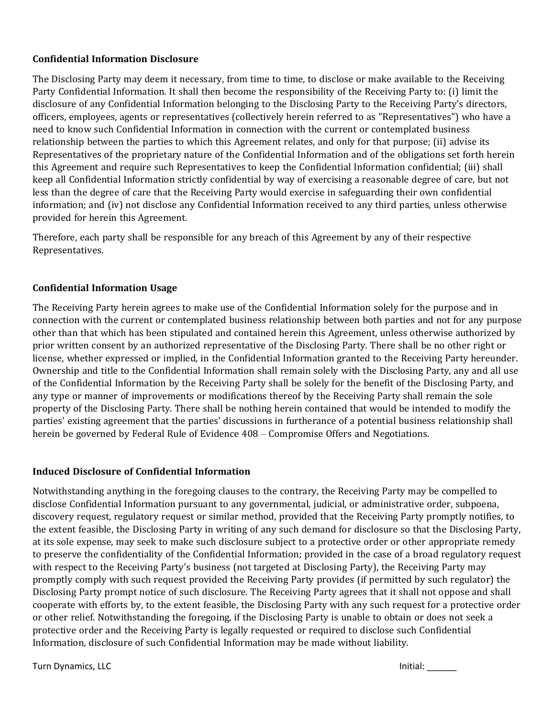# **Confidential Information Disclosure**

The Disclosing Party may deem it necessary, from time to time, to disclose or make available to the Receiving Party Confidential Information. It shall then become the responsibility of the Receiving Party to: (i) limit the disclosure of any Confidential Information belonging to the Disclosing Party to the Receiving Party's directors, officers, employees, agents or representatives (collectively herein referred to as "Representatives") who have a need to know such Confidential Information in connection with the current or contemplated business relationship between the parties to which this Agreement relates, and only for that purpose; (ii) advise its Representatives of the proprietary nature of the Confidential Information and of the obligations set forth herein this Agreement and require such Representatives to keep the Confidential Information confidential; (iii) shall keep all Confidential Information strictly confidential by way of exercising a reasonable degree of care, but not less than the degree of care that the Receiving Party would exercise in safeguarding their own confidential information; and (iv) not disclose any Confidential Information received to any third parties, unless otherwise provided for herein this Agreement.

Therefore, each party shall be responsible for any breach of this Agreement by any of their respective Representatives.

# **Confidential Information Usage**

The Receiving Party herein agrees to make use of the Confidential Information solely for the purpose and in connection with the current or contemplated business relationship between both parties and not for any purpose other than that which has been stipulated and contained herein this Agreement, unless otherwise authorized by prior written consent by an authorized representative of the Disclosing Party. There shall be no other right or license, whether expressed or implied, in the Confidential Information granted to the Receiving Party hereunder. Ownership and title to the Confidential Information shall remain solely with the Disclosing Party, any and all use of the Confidential Information by the Receiving Party shall be solely for the benefit of the Disclosing Party, and any type or manner of improvements or modifications thereof by the Receiving Party shall remain the sole property of the Disclosing Party. There shall be nothing herein contained that would be intended to modify the parties' existing agreement that the parties' discussions in furtherance of a potential business relationship shall herein be governed by Federal Rule of Evidence 408 – Compromise Offers and Negotiations.

## **Induced Disclosure of Confidential Information**

Notwithstanding anything in the foregoing clauses to the contrary, the Receiving Party may be compelled to disclose Confidential Information pursuant to any governmental, judicial, or administrative order, subpoena, discovery request, regulatory request or similar method, provided that the Receiving Party promptly notifies, to the extent feasible, the Disclosing Party in writing of any such demand for disclosure so that the Disclosing Party, at its sole expense, may seek to make such disclosure subject to a protective order or other appropriate remedy to preserve the confidentiality of the Confidential Information; provided in the case of a broad regulatory request with respect to the Receiving Party's business (not targeted at Disclosing Party), the Receiving Party may promptly comply with such request provided the Receiving Party provides (if permitted by such regulator) the Disclosing Party prompt notice of such disclosure. The Receiving Party agrees that it shall not oppose and shall cooperate with efforts by, to the extent feasible, the Disclosing Party with any such request for a protective order or other relief. Notwithstanding the foregoing, if the Disclosing Party is unable to obtain or does not seek a protective order and the Receiving Party is legally requested or required to disclose such Confidential Information, disclosure of such Confidential Information may be made without liability.

Turn Dynamics, LLC Initial: \_\_\_\_\_\_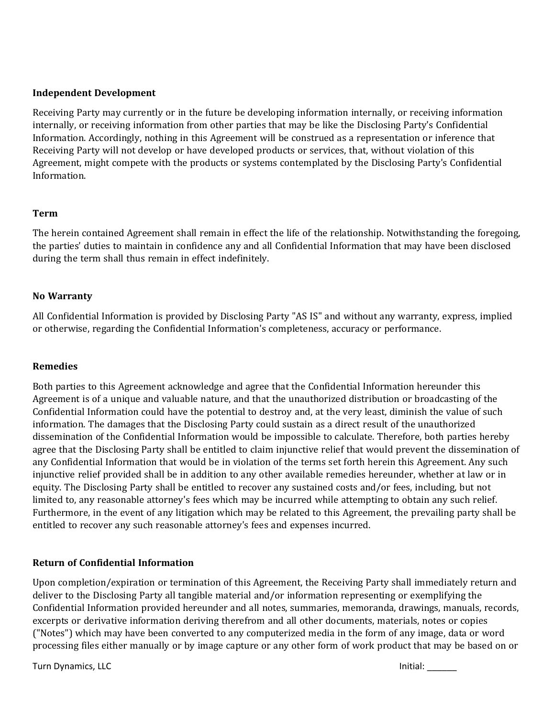### **Independent Development**

Receiving Party may currently or in the future be developing information internally, or receiving information internally, or receiving information from other parties that may be like the Disclosing Party's Confidential Information. Accordingly, nothing in this Agreement will be construed as a representation or inference that Receiving Party will not develop or have developed products or services, that, without violation of this Agreement, might compete with the products or systems contemplated by the Disclosing Party's Confidential Information.

#### **Term**

The herein contained Agreement shall remain in effect the life of the relationship. Notwithstanding the foregoing, the parties' duties to maintain in confidence any and all Confidential Information that may have been disclosed during the term shall thus remain in effect indefinitely.

#### **No Warranty**

All Confidential Information is provided by Disclosing Party "AS IS" and without any warranty, express, implied or otherwise, regarding the Confidential Information's completeness, accuracy or performance.

## **Remedies**

Both parties to this Agreement acknowledge and agree that the Confidential Information hereunder this Agreement is of a unique and valuable nature, and that the unauthorized distribution or broadcasting of the Confidential Information could have the potential to destroy and, at the very least, diminish the value of such information. The damages that the Disclosing Party could sustain as a direct result of the unauthorized dissemination of the Confidential Information would be impossible to calculate. Therefore, both parties hereby agree that the Disclosing Party shall be entitled to claim injunctive relief that would prevent the dissemination of any Confidential Information that would be in violation of the terms set forth herein this Agreement. Any such injunctive relief provided shall be in addition to any other available remedies hereunder, whether at law or in equity. The Disclosing Party shall be entitled to recover any sustained costs and/or fees, including, but not limited to, any reasonable attorney's fees which may be incurred while attempting to obtain any such relief. Furthermore, in the event of any litigation which may be related to this Agreement, the prevailing party shall be entitled to recover any such reasonable attorney's fees and expenses incurred.

## **Return of Confidential Information**

Upon completion/expiration or termination of this Agreement, the Receiving Party shall immediately return and deliver to the Disclosing Party all tangible material and/or information representing or exemplifying the Confidential Information provided hereunder and all notes, summaries, memoranda, drawings, manuals, records, excerpts or derivative information deriving therefrom and all other documents, materials, notes or copies ("Notes") which may have been converted to any computerized media in the form of any image, data or word processing files either manually or by image capture or any other form of work product that may be based on or

Turn Dynamics, LLC and the contract of the contract of the contract of the contract of the contract of the contract of the contract of the contract of the contract of the contract of the contract of the contract of the con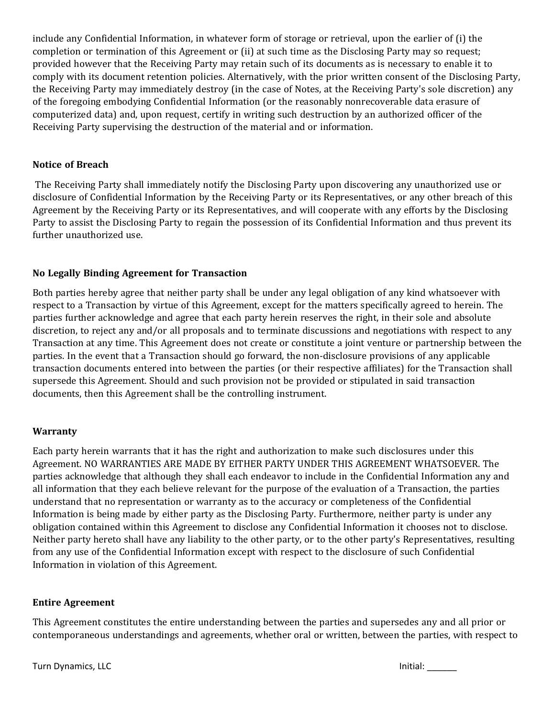include any Confidential Information, in whatever form of storage or retrieval, upon the earlier of (i) the completion or termination of this Agreement or (ii) at such time as the Disclosing Party may so request; provided however that the Receiving Party may retain such of its documents as is necessary to enable it to comply with its document retention policies. Alternatively, with the prior written consent of the Disclosing Party, the Receiving Party may immediately destroy (in the case of Notes, at the Receiving Party's sole discretion) any of the foregoing embodying Confidential Information (or the reasonably nonrecoverable data erasure of computerized data) and, upon request, certify in writing such destruction by an authorized officer of the Receiving Party supervising the destruction of the material and or information.

## **Notice of Breach**

The Receiving Party shall immediately notify the Disclosing Party upon discovering any unauthorized use or disclosure of Confidential Information by the Receiving Party or its Representatives, or any other breach of this Agreement by the Receiving Party or its Representatives, and will cooperate with any efforts by the Disclosing Party to assist the Disclosing Party to regain the possession of its Confidential Information and thus prevent its further unauthorized use.

#### **No Legally Binding Agreement for Transaction**

Both parties hereby agree that neither party shall be under any legal obligation of any kind whatsoever with respect to a Transaction by virtue of this Agreement, except for the matters specifically agreed to herein. The parties further acknowledge and agree that each party herein reserves the right, in their sole and absolute discretion, to reject any and/or all proposals and to terminate discussions and negotiations with respect to any Transaction at any time. This Agreement does not create or constitute a joint venture or partnership between the parties. In the event that a Transaction should go forward, the non-disclosure provisions of any applicable transaction documents entered into between the parties (or their respective affiliates) for the Transaction shall supersede this Agreement. Should and such provision not be provided or stipulated in said transaction documents, then this Agreement shall be the controlling instrument.

## **Warranty**

Each party herein warrants that it has the right and authorization to make such disclosures under this Agreement. NO WARRANTIES ARE MADE BY EITHER PARTY UNDER THIS AGREEMENT WHATSOEVER. The parties acknowledge that although they shall each endeavor to include in the Confidential Information any and all information that they each believe relevant for the purpose of the evaluation of a Transaction, the parties understand that no representation or warranty as to the accuracy or completeness of the Confidential Information is being made by either party as the Disclosing Party. Furthermore, neither party is under any obligation contained within this Agreement to disclose any Confidential Information it chooses not to disclose. Neither party hereto shall have any liability to the other party, or to the other party's Representatives, resulting from any use of the Confidential Information except with respect to the disclosure of such Confidential Information in violation of this Agreement.

#### **Entire Agreement**

This Agreement constitutes the entire understanding between the parties and supersedes any and all prior or contemporaneous understandings and agreements, whether oral or written, between the parties, with respect to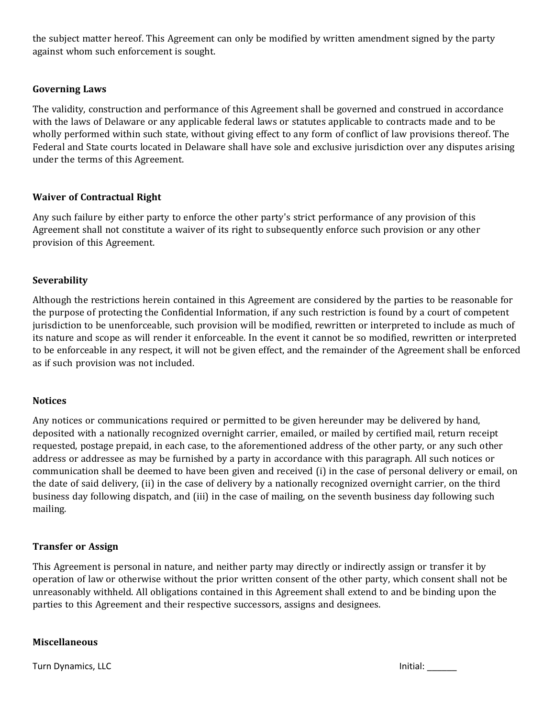the subject matter hereof. This Agreement can only be modified by written amendment signed by the party against whom such enforcement is sought.

### **Governing Laws**

The validity, construction and performance of this Agreement shall be governed and construed in accordance with the laws of Delaware or any applicable federal laws or statutes applicable to contracts made and to be wholly performed within such state, without giving effect to any form of conflict of law provisions thereof. The Federal and State courts located in Delaware shall have sole and exclusive jurisdiction over any disputes arising under the terms of this Agreement.

#### **Waiver of Contractual Right**

Any such failure by either party to enforce the other party's strict performance of any provision of this Agreement shall not constitute a waiver of its right to subsequently enforce such provision or any other provision of this Agreement.

#### **Severability**

Although the restrictions herein contained in this Agreement are considered by the parties to be reasonable for the purpose of protecting the Confidential Information, if any such restriction is found by a court of competent jurisdiction to be unenforceable, such provision will be modified, rewritten or interpreted to include as much of its nature and scope as will render it enforceable. In the event it cannot be so modified, rewritten or interpreted to be enforceable in any respect, it will not be given effect, and the remainder of the Agreement shall be enforced as if such provision was not included.

#### **Notices**

Any notices or communications required or permitted to be given hereunder may be delivered by hand, deposited with a nationally recognized overnight carrier, emailed, or mailed by certified mail, return receipt requested, postage prepaid, in each case, to the aforementioned address of the other party, or any such other address or addressee as may be furnished by a party in accordance with this paragraph. All such notices or communication shall be deemed to have been given and received (i) in the case of personal delivery or email, on the date of said delivery, (ii) in the case of delivery by a nationally recognized overnight carrier, on the third business day following dispatch, and (iii) in the case of mailing, on the seventh business day following such mailing.

#### **Transfer or Assign**

This Agreement is personal in nature, and neither party may directly or indirectly assign or transfer it by operation of law or otherwise without the prior written consent of the other party, which consent shall not be unreasonably withheld. All obligations contained in this Agreement shall extend to and be binding upon the parties to this Agreement and their respective successors, assigns and designees.

#### **Miscellaneous**

Turn Dynamics, LLC and the contract of the contract of the contract of the contract of the contract of the contract of the contract of the contract of the contract of the contract of the contract of the contract of the con